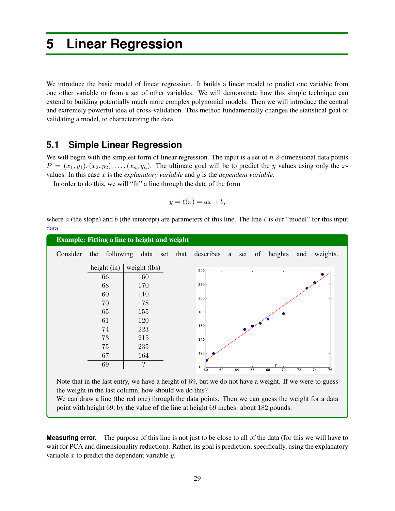# **5 Linear Regression**

We introduce the basic model of linear regression. It builds a linear model to predict one variable from one other variable or from a set of other variables. We will demonstrate how this simple technique can extend to building potentially much more complex polynomial models. Then we will introduce the central and extremely powerful idea of cross-validation. This method fundamentally changes the statistical goal of validating a model, to characterizing the data.

## **5.1 Simple Linear Regression**

We will begin with the simplest form of linear regression. The input is a set of *n* 2-dimensional data points  $P = (x_1, y_1), (x_2, y_2), \ldots, (x_n, y_n)$ . The ultimate goal will be to predict the *y* values using only the *x*values. In this case *x* is the *explanatory variable* and *y* is the *dependent variable*.

In order to do this, we will "fit" a line through the data of the form

$$
y = \ell(x) = ax + b,
$$

where *a* (the slope) and *b* (the intercept) are parameters of this line. The line  $\ell$  is our "model" for this input data.

| Consider | following<br>the | data<br>set  | that | describes<br>heights<br>weights.<br>a set of<br>and                                                   |
|----------|------------------|--------------|------|-------------------------------------------------------------------------------------------------------|
|          | height $(in)$    | weight (lbs) |      | 240                                                                                                   |
|          | 66               | 160          |      |                                                                                                       |
|          | 68               | 170          |      | 220                                                                                                   |
|          | 60               | 110          |      | 200                                                                                                   |
|          | 70               | 178          |      |                                                                                                       |
|          | 65               | 155          |      | 180                                                                                                   |
|          | 61               | 120          |      | 160                                                                                                   |
|          | 74               | 223          |      |                                                                                                       |
|          | 73               | 215          |      | 140                                                                                                   |
|          | 75               | 235          |      |                                                                                                       |
|          | 67               | 164          |      | 120                                                                                                   |
|          | 69               | ?            |      | $100 - 60$<br>68<br>62<br>70<br>$\overline{72}$<br>64<br>66<br>74<br>76                               |
|          |                  |              |      | Note that in the last entry, we have a height of 69, but we do not have a weight. If we were to guess |

We can draw a line (the red one) through the data points. Then we can guess the weight for a data point with height 69, by the value of the line at height 69 inches: about 182 pounds.

**Measuring error.** The purpose of this line is not just to be close to all of the data (for this we will have to wait for PCA and dimensionality reduction). Rather, its goal is prediction; specifically, using the explanatory variable *x* to predict the dependent variable *y*.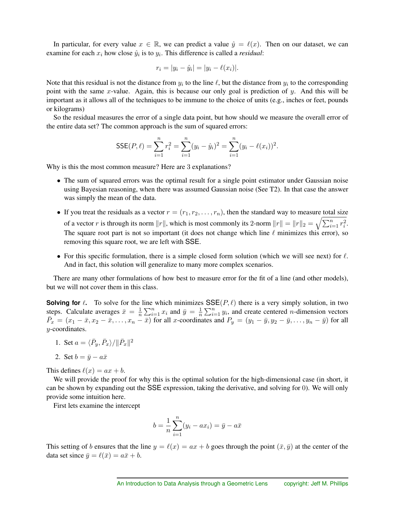In particular, for every value  $x \in \mathbb{R}$ , we can predict a value  $\hat{y} = \ell(x)$ . Then on our dataset, we can examine for each  $x_i$  how close  $\hat{y}_i$  is to  $y_i$ . This difference is called a *residual*:

$$
r_i = |y_i - \hat{y}_i| = |y_i - \ell(x_i)|.
$$

Note that this residual is not the distance from  $y_i$  to the line  $\ell$ , but the distance from  $y_i$  to the corresponding point with the same *x*-value. Again, this is because our only goal is prediction of *y*. And this will be important as it allows all of the techniques to be immune to the choice of units (e.g., inches or feet, pounds or kilograms)

So the residual measures the error of a single data point, but how should we measure the overall error of the entire data set? The common approach is the sum of squared errors:

$$
\text{SSE}(P,\ell) = \sum_{i=1}^{n} r_i^2 = \sum_{i=1}^{n} (y_i - \hat{y}_i)^2 = \sum_{i=1}^{n} (y_i - \ell(x_i))^2.
$$

Why is this the most common measure? Here are 3 explanations?

- The sum of squared errors was the optimal result for a single point estimator under Gaussian noise using Bayesian reasoning, when there was assumed Gaussian noise (See T2). In that case the answer was simply the mean of the data.
- If you treat the residuals as a vector  $r = (r_1, r_2, \ldots, r_n)$ , then the standard way to measure total size of a vector *r* is through its norm  $||r||$ , which is most commonly its 2-norm  $||r|| = ||r||_2 = \sqrt{\sum_{i=1}^n r_i^2}$ . The square root part is not so important (it does not change which line  $\ell$  minimizes this error), so removing this square root, we are left with SSE.
- For this specific formulation, there is a simple closed form solution (which we will see next) for  $\ell$ . And in fact, this solution will generalize to many more complex scenarios.

There are many other formulations of how best to measure error for the fit of a line (and other models), but we will not cover them in this class.

**Solving for**  $\ell$ . To solve for the line which minimizes  $\text{SSE}(P, \ell)$  there is a very simply solution, in two steps. Calculate averages  $\bar{x} = \frac{1}{n} \sum_{i=1}^{n} x_i$  and  $\bar{y} = \frac{1}{n} \sum_{i=1}^{n} y_i$ , and create centered *n*-dimension vectors  $\overline{P}_x = (x_1 - \overline{x}, x_2 - \overline{x}, \ldots, x_n - \overline{x})$  for all *x*-coordinates and  $P_y = (y_1 - \overline{y}, y_2 - \overline{y}, \ldots, y_n - \overline{y})$  for all *y*-coordinates.

- 1. Set  $a = \langle \bar{P}_y, \bar{P}_x \rangle / ||\bar{P}_x||^2$
- 2. Set  $b = \bar{y} a\bar{x}$

This defines  $\ell(x) = ax + b$ .

We will provide the proof for why this is the optimal solution for the high-dimensional case (in short, it can be shown by expanding out the SSE expression, taking the derivative, and solving for 0). We will only provide some intuition here.

First lets examine the intercept

$$
b = \frac{1}{n} \sum_{i=1}^{n} (y_i - ax_i) = \bar{y} - a\bar{x}
$$

This setting of *b* ensures that the line  $y = \ell(x) = ax + b$  goes through the point  $(\bar{x}, \bar{y})$  at the center of the data set since  $\bar{y} = \ell(\bar{x}) = a\bar{x} + b$ .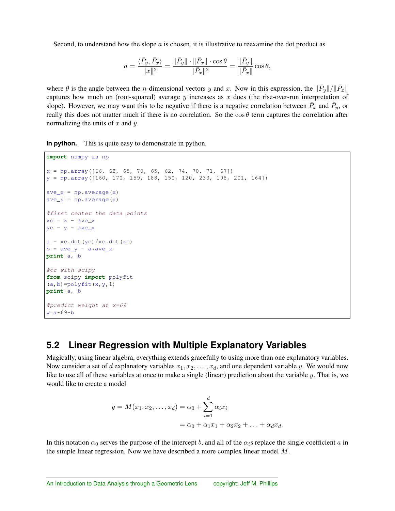Second, to understand how the slope *a* is chosen, it is illustrative to reexamine the dot product as

$$
a=\frac{\langle\bar{P}_y,\bar{P}_x\rangle}{\|x\|^2}=\frac{\|\bar{P}_y\|\cdot\|\bar{P}_x\|\cdot\cos\theta}{\|\bar{P}_x\|^2}=\frac{\|\bar{P}_y\|}{\|\bar{P}_x\|}\cos\theta,
$$

where  $\theta$  is the angle between the *n*-dimensional vectors *y* and *x*. Now in this expression, the  $\|\bar{P}_y\|/\|\bar{P}_x\|$ captures how much on (root-squared) average *y* increases as *x* does (the rise-over-run interpretation of slope). However, we may want this to be negative if there is a negative correlation between  $\bar{P}_x$  and  $\bar{P}_y$ , or really this does not matter much if there is no correlation. So the  $\cos \theta$  term captures the correlation after normalizing the units of *x* and *y*.

**In python.** This is quite easy to demonstrate in python.

```
import numpy as np
x = np.array([66, 68, 65, 70, 65, 62, 74, 70, 71, 67])y = np.array([160, 170, 159, 188, 150, 120, 233, 198, 201, 164])
ave_x = np<u>z = np</u>
ave_y = np<u>zaverage(y)</u>#first center the data points
xc = x - ave_xyc = y - ave_xa = xc.dot(yc)/xc.dot(xc)b = ave_y - a*ave_xprint a, b
#or with scipy
from scipy import polyfit
(a,b)=polyfit(x,y,1)print a, b
#predict weight at x=69
w = a * 69 + b
```
## **5.2 Linear Regression with Multiple Explanatory Variables**

Magically, using linear algebra, everything extends gracefully to using more than one explanatory variables. Now consider a set of *d* explanatory variables  $x_1, x_2, \ldots, x_d$ , and one dependent variable *y*. We would now like to use all of these variables at once to make a single (linear) prediction about the variable *y*. That is, we would like to create a model

$$
y = M(x_1, x_2, ..., x_d) = \alpha_0 + \sum_{i=1}^d \alpha_i x_i
$$
  
=  $\alpha_0 + \alpha_1 x_1 + \alpha_2 x_2 + ... + \alpha_d x_d$ .

In this notation  $\alpha_0$  serves the purpose of the intercept *b*, and all of the  $\alpha_i$ <sup>s</sup> replace the single coefficient *a* in the simple linear regression. Now we have described a more complex linear model *M*.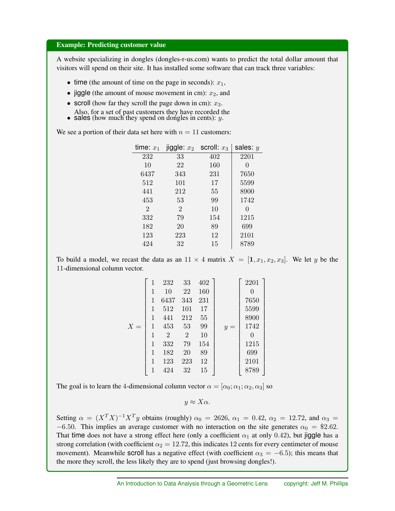#### Example: Predicting customer value

A website specializing in dongles (dongles-r-us.com) wants to predict the total dollar amount that visitors will spend on their site. It has installed some software that can track three variables:

- time (the amount of time on the page in seconds):  $x_1$ ,
- jiggle (the amount of mouse movement in cm):  $x_2$ , and
- *•* scroll (how far they scroll the page down in cm): *x*3. Also, for a set of past customers they have recorded the
- *•* sales (how much they spend on dongles in cents): *y*.

We see a portion of their data set here with  $n = 11$  customers:

| time: $x_1$                 | $\mathsf{ijggle}: x_2$ | scroll: $x_3$ | sales: $y$ |
|-----------------------------|------------------------|---------------|------------|
| 232                         | 33                     | 402           | 2201       |
| 10                          | 22                     | 160           | 0          |
| 6437                        | 343                    | 231           | 7650       |
| 512                         | 101                    | 17            | 5599       |
| 441                         | 212                    | 55            | 8900       |
| 453                         | 53                     | 99            | 1742       |
| $\mathcal{D}_{\mathcal{L}}$ | $\overline{2}$         | 10            | 0          |
| 332                         | 79                     | 154           | 1215       |
| 182                         | 20                     | 89            | 699        |
| 123                         | 223                    | 12            | 2101       |
| 424                         | 32                     | 15            | 8789       |
|                             |                        |               |            |

To build a model, we recast the data as an  $11 \times 4$  matrix  $X = [1, x_1, x_2, x_3]$ . We let *y* be the -dimensional column vector.

|       | 1 | 232            | 33             | 402 |       | 2201 |  |
|-------|---|----------------|----------------|-----|-------|------|--|
|       | 1 | 10             | 22             | 160 |       | 0    |  |
|       | 1 | 6437           | 343            | 231 |       | 7650 |  |
|       | 1 | 512            | 101            | 17  |       | 5599 |  |
|       | 1 | 441            | 212            | 55  |       | 8900 |  |
| $X =$ | 1 | 453            | 53             | 99  | $y =$ | 1742 |  |
|       | 1 | $\overline{2}$ | $\overline{2}$ | 10  |       | 0    |  |
|       | 1 | 332            | 79             | 154 |       | 1215 |  |
|       | 1 | 182            | 20             | 89  |       | 699  |  |
|       | 1 | 123            | 223            | 12  |       | 2101 |  |
|       | 1 | 424            | 32             | 15  |       | 8789 |  |
|       |   |                |                |     |       |      |  |

The goal is to learn the 4-dimensional column vector  $\alpha = [\alpha_0; \alpha_1; \alpha_2, \alpha_3]$  so

$$
y \approx X\alpha.
$$

Setting  $\alpha = (X^T X)^{-1} X^T y$  obtains (roughly)  $\alpha_0 = 2626$ ,  $\alpha_1 = 0.42$ ,  $\alpha_2 = 12.72$ , and  $\alpha_3 =$  $-6.50$ . This implies an average customer with no interaction on the site generates  $\alpha_0 = \$2.62$ . That time does not have a strong effect here (only a coefficient  $\alpha_1$  at only 0.42), but jiggle has a strong correlation (with coefficient  $\alpha_2 = 12.72$ , this indicates 12 cents for every centimeter of mouse movement). Meanwhile scroll has a negative effect (with coefficient  $\alpha_3 = -6.5$ ); this means that the more they scroll, the less likely they are to spend (just browsing dongles!).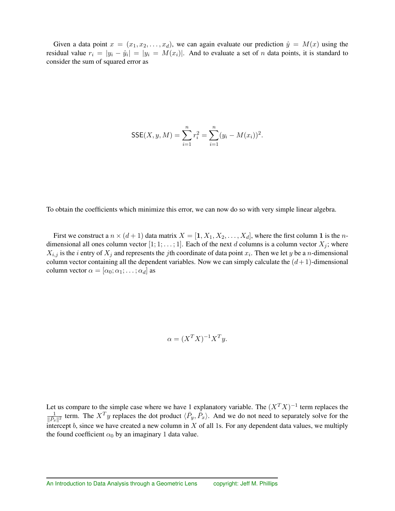Given a data point  $x = (x_1, x_2, \ldots, x_d)$ , we can again evaluate our prediction  $\hat{y} = M(x)$  using the residual value  $r_i = |y_i - \hat{y}_i| = |y_i| = M(x_i)$ . And to evaluate a set of *n* data points, it is standard to consider the sum of squared error as

$$
\text{SSE}(X, y, M) = \sum_{i=1}^{n} r_i^2 = \sum_{i=1}^{n} (y_i - M(x_i))^2.
$$

To obtain the coefficients which minimize this error, we can now do so with very simple linear algebra.

First we construct a  $n \times (d+1)$  data matrix  $X = [1, X_1, X_2, \ldots, X_d]$ , where the first column 1 is the *n*dimensional all ones column vector  $[1; 1; \ldots; 1]$ . Each of the next *d* columns is a column vector  $X_j$ ; where  $X_{i,j}$  is the *i* entry of  $X_j$  and represents the *j*th coordinate of data point  $x_i$ . Then we let *y* be a *n*-dimensional column vector containing all the dependent variables. Now we can simply calculate the  $(d+1)$ -dimensional column vector  $\alpha = [\alpha_0; \alpha_1; \ldots; \alpha_d]$  as

$$
\alpha = (X^T X)^{-1} X^T y.
$$

Let us compare to the simple case where we have 1 explanatory variable. The  $(X^T X)^{-1}$  term replaces the  $\frac{1}{\|P_x\|^2}$  term. The  $X^T y$  replaces the dot product  $\langle \bar{P}_y, \bar{P}_x \rangle$ . And we do not need to separately solve for the intercept *b*, since we have created a new column in *X* of all 1s. For any dependent data values, we multiply the found coefficient  $\alpha_0$  by an imaginary 1 data value.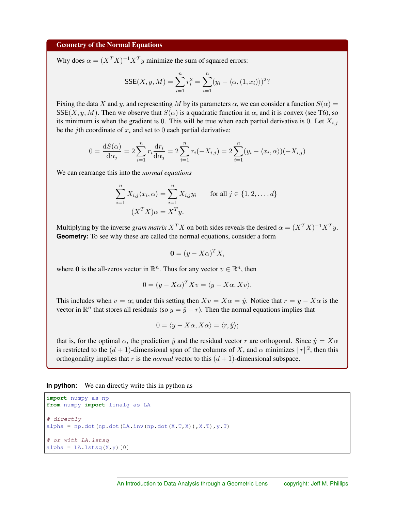#### Geometry of the Normal Equations

Why does  $\alpha = (X^T X)^{-1} X^T y$  minimize the sum of squared errors:

$$
SSE(X, y, M) = \sum_{i=1}^{n} r_i^2 = \sum_{i=1}^{n} (y_i - \langle \alpha, (1, x_i) \rangle)^2
$$

Fixing the data X and *y*, and representing M by its parameters  $\alpha$ , we can consider a function  $S(\alpha) =$  $SSE(X, y, M)$ . Then we observe that  $S(\alpha)$  is a quadratic function in  $\alpha$ , and it is convex (see T6), so its minimum is when the gradient is 0. This will be true when each partial derivative is 0. Let  $X_{i,j}$ be the *j*th coordinate of  $x_i$  and set to 0 each partial derivative:

$$
0 = \frac{dS(\alpha)}{d\alpha_j} = 2\sum_{i=1}^n r_i \frac{dr_i}{d\alpha_j} = 2\sum_{i=1}^n r_i(-X_{i,j}) = 2\sum_{i=1}^n (y_i - \langle x_i, \alpha \rangle)(-X_{i,j})
$$

We can rearrange this into the *normal equations*

$$
\sum_{i=1}^{n} X_{i,j} \langle x_i, \alpha \rangle = \sum_{i=1}^{n} X_{i,j} y_i \quad \text{for all } j \in \{1, 2, \dots, d\}
$$

$$
(X^T X) \alpha = X^T y.
$$

Multiplying by the inverse *gram matrix*  $X^T X$  on both sides reveals the desired  $\alpha = (X^T X)^{-1} X^T y$ . **Geometry:** To see why these are called the normal equations, consider a form

$$
\mathbf{0} = (y - X\alpha)^T X,
$$

where 0 is the all-zeros vector in  $\mathbb{R}^n$ . Thus for any vector  $v \in \mathbb{R}^n$ , then

$$
0 = (y - X\alpha)^{T} Xv = \langle y - X\alpha, Xv \rangle.
$$

This includes when  $v = \alpha$ ; under this setting then  $Xv = X\alpha = \hat{y}$ . Notice that  $r = y - X\alpha$  is the vector in  $\mathbb{R}^n$  that stores all residuals (so  $y = \hat{y} + r$ ). Then the normal equations implies that

$$
0 = \langle y - X\alpha, X\alpha \rangle = \langle r, \hat{y} \rangle;
$$

that is, for the optimal  $\alpha$ , the prediction  $\hat{y}$  and the residual vector *r* are orthogonal. Since  $\hat{y} = X\alpha$ is restricted to the  $(d + 1)$ -dimensional span of the columns of *X*, and  $\alpha$  minimizes  $||r||^2$ , then this orthogonality implies that  $r$  is the *normal* vector to this  $(d + 1)$ -dimensional subspace.

**In python:** We can directly write this in python as

```
import numpy as np
from numpy import linalg as LA
# directly
alpha = np.dot(np.dot(LA.inv(np.dot(X,T,X)),X,T),y,T)# or with LA.lstsq
alpha = LA.lstsq(X, y)[0]
```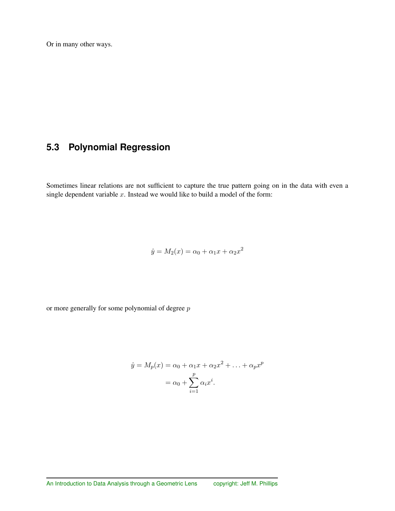Or in many other ways.

## **5.3 Polynomial Regression**

Sometimes linear relations are not sufficient to capture the true pattern going on in the data with even a single dependent variable *x*. Instead we would like to build a model of the form:

$$
\hat{y} = M_2(x) = \alpha_0 + \alpha_1 x + \alpha_2 x^2
$$

or more generally for some polynomial of degree *p*

$$
\hat{y} = M_p(x) = \alpha_0 + \alpha_1 x + \alpha_2 x^2 + \dots + \alpha_p x^p
$$

$$
= \alpha_0 + \sum_{i=1}^p \alpha_i x^i.
$$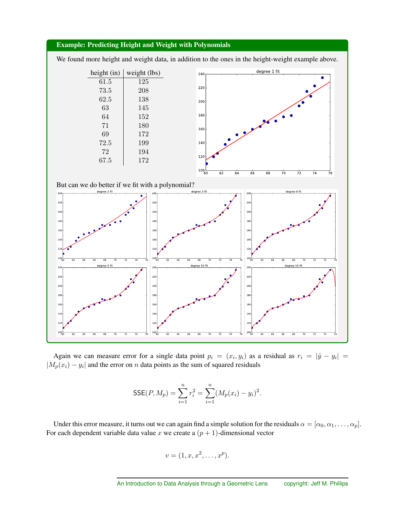

Again we can measure error for a single data point  $p_i = (x_i, y_i)$  as a residual as  $r_i = |\hat{y} - y_i|$  $|M_p(x_i) - y_i|$  and the error on *n* data points as the sum of squared residuals

$$
\text{SSE}(P, M_p) = \sum_{i=1}^{n} r_i^2 = \sum_{i=1}^{n} (M_p(x_i) - y_i)^2.
$$

Under this error measure, it turns out we can again find a simple solution for the residuals  $\alpha = [\alpha_0, \alpha_1, \dots, \alpha_p]$ . For each dependent variable data value  $x$  we create a  $(p + 1)$ -dimensional vector

$$
v=(1,x,x^2,\ldots,x^p).
$$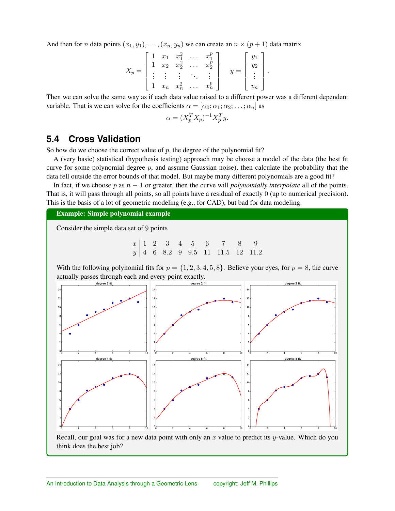And then for *n* data points  $(x_1, y_1), \ldots, (x_n, y_n)$  we can create an  $n \times (p+1)$  data matrix

$$
X_p = \begin{bmatrix} 1 & x_1 & x_1^2 & \dots & x_1^p \\ 1 & x_2 & x_2^2 & \dots & x_2^p \\ \vdots & \vdots & \vdots & \ddots & \vdots \\ 1 & x_n & x_n^2 & \dots & x_n^p \end{bmatrix} \qquad y = \begin{bmatrix} y_1 \\ y_2 \\ \vdots \\ v_n \end{bmatrix}.
$$

Then we can solve the same way as if each data value raised to a different power was a different dependent variable. That is we can solve for the coefficients  $\alpha = [\alpha_0; \alpha_1; \alpha_2; \dots; \alpha_n]$  as

$$
\alpha = (X_p^T X_p)^{-1} X_p^T y.
$$

## **5.4 Cross Validation**

So how do we choose the correct value of  $p$ , the degree of the polynomial fit?

A (very basic) statistical (hypothesis testing) approach may be choose a model of the data (the best fit curve for some polynomial degree  $p$ , and assume Gaussian noise), then calculate the probability that the data fell outside the error bounds of that model. But maybe many different polynomials are a good fit?

In fact, if we choose *p* as  $n - 1$  or greater, then the curve will *polynomially interpolate* all of the points. That is, it will pass through all points, so all points have a residual of exactly 0 (up to numerical precision). This is the basis of a lot of geometric modeling (e.g., for CAD), but bad for data modeling.

Example: Simple polynomial example

Consider the simple data set of 9 points

*x* 12 3 4 5 6 7 8 9 *y* 468*.*299*.*5 11 11*.*5 12 11*.*2

With the following polynomial fits for  $p = \{1, 2, 3, 4, 5, 8\}$ . Believe your eyes, for  $p = 8$ , the curve actually passes through each and every point exactly.



Recall, our goal was for a new data point with only an *x* value to predict its *y*-value. Which do you think does the best job?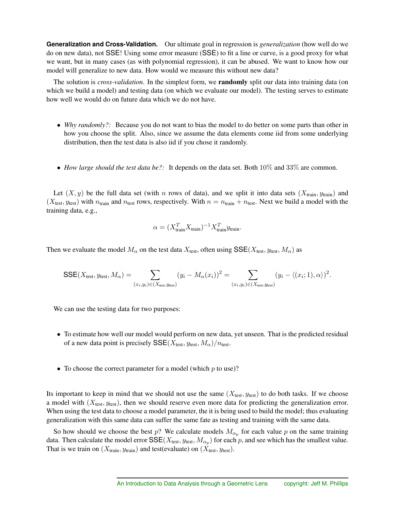**Generalization and Cross-Validation.** Our ultimate goal in regression is *generalization* (how well do we do on new data), not SSE! Using some error measure (SSE) to fit a line or curve, is a good proxy for what we want, but in many cases (as with polynomial regression), it can be abused. We want to know how our model will generalize to new data. How would we measure this without new data?

The solution is *cross-validation*. In the simplest form, we randomly split our data into training data (on which we build a model) and testing data (on which we evaluate our model). The testing serves to estimate how well we would do on future data which we do not have.

- *Why randomly?*: Because you do not want to bias the model to do better on some parts than other in how you choose the split. Also, since we assume the data elements come iid from some underlying distribution, then the test data is also iid if you chose it randomly.
- *How large should the test data be?*: It depends on the data set. Both 10% and 33% are common.

Let  $(X, y)$  be the full data set (with *n* rows of data), and we split it into data sets  $(X_{\text{train}}, y_{\text{train}})$  and  $(X_{test}, y_{test})$  with  $n_{train}$  and  $n_{test}$  rows, respectively. With  $n = n_{train} + n_{test}$ . Next we build a model with the training data, e.g.,

$$
\alpha = (X_{\text{train}}^T X_{\text{train}})^{-1} X_{\text{train}}^T y_{\text{train}}.
$$

Then we evaluate the model  $M_{\alpha}$  on the test data  $X_{\text{test}}$ , often using  $\text{SSE}(X_{\text{test}}, y_{\text{test}}, M_{\alpha})$  as

$$
\text{SSE}(X_{\text{test}}, y_{\text{test}}, M_{\alpha}) = \sum_{(x_i, y_i) \in (X_{\text{test}}, y_{\text{test}})} (y_i - M_{\alpha}(x_i))^2 = \sum_{(x_i, y_i) \in (X_{\text{test}}, y_{\text{test}})} (y_i - \langle (x_i; 1), \alpha \rangle)^2.
$$

We can use the testing data for two purposes:

- To estimate how well our model would perform on new data, yet unseen. That is the predicted residual of a new data point is precisely  $\text{SSE}(X_{\text{test}}, y_{\text{test}}, M_\alpha)/n_{\text{test}}$ .
- *•* To choose the correct parameter for a model (which *p* to use)?

Its important to keep in mind that we should not use the same  $(X_{\text{test}}, y_{\text{test}})$  to do both tasks. If we choose a model with (*X*test*, y*test), then we should reserve even more data for predicting the generalization error. When using the test data to choose a model parameter, the it is being used to build the model; thus evaluating generalization with this same data can suffer the same fate as testing and training with the same data.

So how should we choose the best  $p$ ? We calculate models  $M_{\alpha_p}$  for each value  $p$  on the same training data. Then calculate the model error  $\text{SSE}(X_{\text{test}}, y_{\text{test}}, M_{\alpha_p})$  for each p, and see which has the smallest value. That is we train on  $(X_{\text{train}}, y_{\text{train}})$  and test(evaluate) on  $(X_{\text{test}}, y_{\text{test}})$ .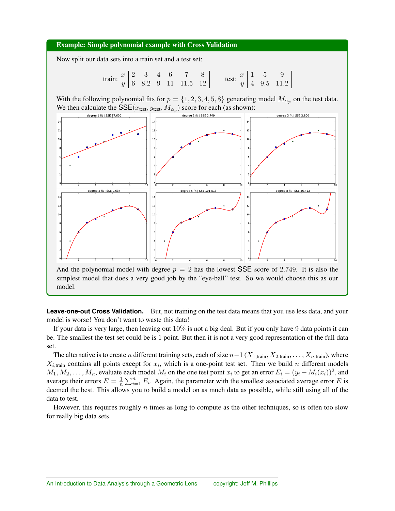#### Example: Simple polynomial example with Cross Validation

Now split our data sets into a train set and a test set:

train: 
$$
\begin{array}{c|ccccc}\nx & 2 & 3 & 4 & 6 & 7 & 8 \\
\hline\ny & 6 & 8.2 & 9 & 11 & 11.5 & 12\n\end{array}
$$
 test:  $\begin{array}{c|ccccc}\nx & 1 & 5 & 9 \\
y & 4 & 9.5 & 11.2\n\end{array}$ 

With the following polynomial fits for  $p = \{1, 2, 3, 4, 5, 8\}$  generating model  $M_{\alpha_n}$  on the test data. We then calculate the  $\text{SSE}(x_{\text{test}}, y_{\text{test}}, M_{\alpha_p})$  score for each (as shown):



**Leave-one-out Cross Validation.** But, not training on the test data means that you use less data, and your model is worse! You don't want to waste this data!

If your data is very large, then leaving out  $10\%$  is not a big deal. But if you only have 9 data points it can be. The smallest the test set could be is 1 point. But then it is not a very good representation of the full data set.

The alternative is to create *n* different training sets, each of size  $n-1$  ( $X_{1,\text{train}}, X_{2,\text{train}}, \ldots, X_{n,\text{train}}$ ), where  $X_{i,\text{train}}$  contains all points except for  $x_i$ , which is a one-point test set. Then we build *n* different models  $M_1, M_2, \ldots, M_n$ , evaluate each model  $M_i$  on the one test point  $x_i$  to get an error  $E_i = (y_i - M_i(x_i))^2$ , and average their errors  $E = \frac{1}{n} \sum_{i=1}^{n} E_i$ . Again, the parameter with the smallest associated average error *E* is deemed the best. This allows you to build a model on as much data as possible, while still using all of the data to test.

However, this requires roughly *n* times as long to compute as the other techniques, so is often too slow for really big data sets.